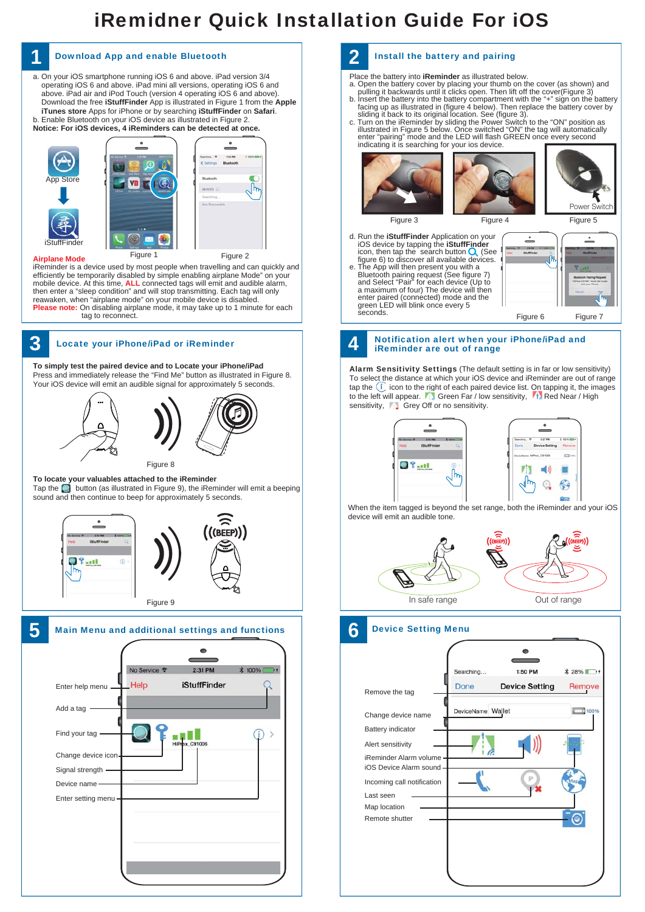# iRemidner Quick Installation Guide For iOS



### Install the battery and pairing

Place the battery into **iReminder** as illustrated below.

- 
- a. Open the battery cover by placing your thumb on the cover (as shown) and<br>pulling it backwards until it clicks open. Then lift off the cover(Figure 3)<br>b. Insert the battery into the battery compartment with the "+" sign
- illustrated in Figure 5 below. Once switched "ON" the tag will automatically<br>enter "pairing" mode and the LED will flash GREEN once every second<br>indicating it is searching for your ios device.



d. Run the **iStuffFinder** Application on your<br>iOS device by tapping the **iStuffFinder**<br>icon, then tap the search button (See<br>figure 6) to discover all available devices. e. The App will then present you with a Bluetooth pairing request (See figure 7)<br>and Select "Pair" for each device (Up to<br>a maximum of four) The device will then<br>enter paired (connected) mode and the<br>green LED will blink once every 5<br>seconds.



#### Notification alert when your iPhone/iPad and iReminder are out of range

Alarm Sensitivity Settings (The default setting is in far or low sensitivity) To select the distance at which your iOS device and iReminder are out of range tap the  $(i)$  icon to the right of each paired device list. On tapping it, the images to the left will appear.  $\mathbf{F}$  Green Far / low sensitivity,  $\mathbf{F}$  Red Near / High sensitivity, Grey Off or no sensitivity.



When the item tagged is beyond the set range, both the iReminder and your iOS device will emit an audible tone.



### Device Setting Menu